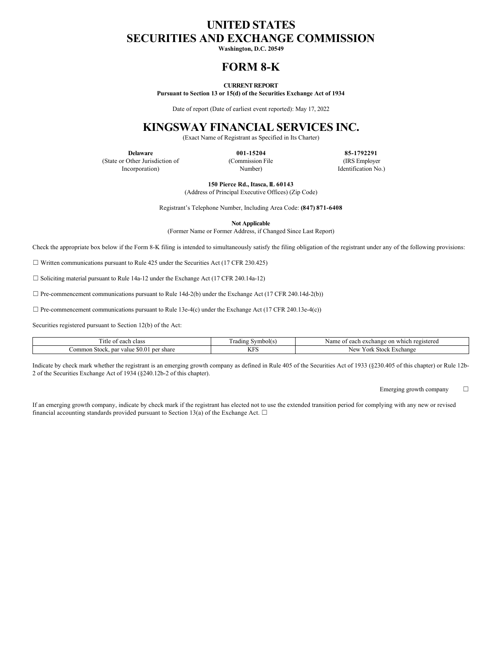# **UNITED STATES SECURITIES AND EXCHANGE COMMISSION**

**Washington, D.C. 20549**

# **FORM 8-K**

### **CURRENT REPORT**

**Pursuant to Section 13 or 15(d) of the Securities Exchange Act of 1934**

Date of report (Date of earliest event reported): May 17, 2022

# **KINGSWAY FINANCIAL SERVICES INC.**

(Exact Name of Registrant as Specified in Its Charter)

**Delaware** (State or Other Jurisdiction of Incorporation)

**001-15204** (Commission File Number)

**85-1792291** (IRS Employer Identification No.)

**150 Pierce Rd., Itasca, IL 60143**

(Address of Principal Executive Offices) (Zip Code)

Registrant's Telephone Number, Including Area Code: **(847) 871-6408**

**Not Applicable**

(Former Name or Former Address, if Changed Since Last Report)

Check the appropriate box below if the Form 8-K filing is intended to simultaneously satisfy the filing obligation of the registrant under any of the following provisions:

 $\Box$  Written communications pursuant to Rule 425 under the Securities Act (17 CFR 230.425)

☐ Soliciting material pursuant to Rule 14a-12 under the Exchange Act (17 CFR 240.14a-12)

 $\Box$  Pre-commencement communications pursuant to Rule 14d-2(b) under the Exchange Act (17 CFR 240.14d-2(b))

 $\Box$  Pre-commencement communications pursuant to Rule 13e-4(c) under the Exchange Act (17 CFR 240.13e-4(c))

Securities registered pursuant to Section 12(b) of the Act:

| . itle<br>each class                                                   | Symboll<br>radıng  | Name<br>which<br>registereg<br>on<br>exchange.<br>each<br>$\Omega$ |
|------------------------------------------------------------------------|--------------------|--------------------------------------------------------------------|
| `ommon<br>share<br>par<br>value<br><b>SO.O</b><br>Stock.<br>ner<br>ັບປ | <b>TEDO</b><br>N.G | New<br>Exchange<br>7 ork<br><b>Stock</b>                           |

Indicate by check mark whether the registrant is an emerging growth company as defined in Rule 405 of the Securities Act of 1933 (§230.405 of this chapter) or Rule 12b-2 of the Securities Exchange Act of 1934 (§240.12b-2 of this chapter).

Emerging growth company  $\Box$ 

If an emerging growth company, indicate by check mark if the registrant has elected not to use the extended transition period for complying with any new or revised financial accounting standards provided pursuant to Section 13(a) of the Exchange Act.  $\Box$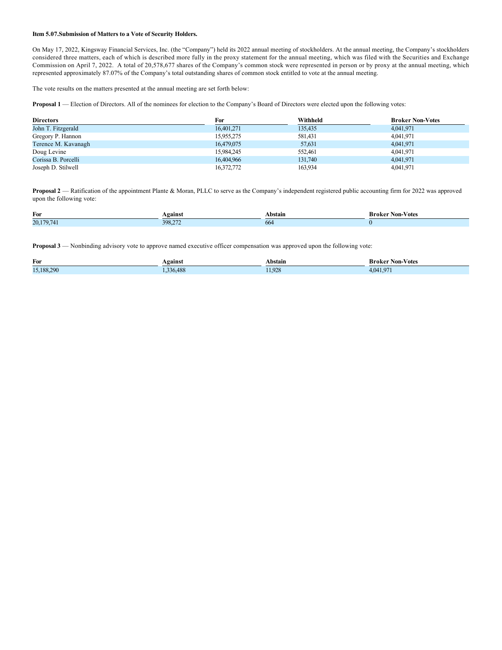#### **Item 5.07.Submission of Matters to a Vote of Security Holders.**

On May 17, 2022, Kingsway Financial Services, Inc. (the "Company") held its 2022 annual meeting of stockholders. At the annual meeting, the Company's stockholders considered three matters, each of which is described more fully in the proxy statement for the annual meeting, which was filed with the Securities and Exchange Commission on April 7, 2022. A total of 20,578,677 shares of the Company's common stock were represented in person or by proxy at the annual meeting, which represented approximately 87.07% of the Company's total outstanding shares of common stock entitled to vote at the annual meeting.

The vote results on the matters presented at the annual meeting are set forth below:

**Proposal 1** — Election of Directors. All of the nominees for election to the Company's Board of Directors were elected upon the following votes:

| <b>Directors</b>    | For        | Withheld | <b>Broker Non-Votes</b> |
|---------------------|------------|----------|-------------------------|
| John T. Fitzgerald  | 16,401,271 | 135,435  | 4,041,971               |
| Gregory P. Hannon   | 15,955,275 | 581,431  | 4,041,971               |
| Terence M. Kavanagh | 16,479,075 | 57,631   | 4,041,971               |
| Doug Levine         | 15,984,245 | 552,461  | 4,041,971               |
| Corissa B. Porcelli | 16,404,966 | 131,740  | 4,041,971               |
| Joseph D. Stilwell  | 16,372,772 | 163,934  | 4,041,971               |

**Proposal 2** — Ratification of the appointment Plante & Moran, PLLC to serve as the Company's independent registered public accounting firm for 2022 was approved upon the following vote:

| For      | Against | Abstain | Non-<br>-Votes<br>Broker |
|----------|---------|---------|--------------------------|
| 20,179,7 | 398.27  | 664     |                          |

**Proposal 3** — Nonbinding advisory vote to approve named executive officer compensation was approved upon the following vote:

| For        | <b>Against</b> | Abstain | Mon-Votes '<br>Broker                    |
|------------|----------------|---------|------------------------------------------|
| 15,188,290 | 5.488<br>336   | 1.928   | 07<br>$\Lambda$ $\Omega$<br>$\mathbf{r}$ |